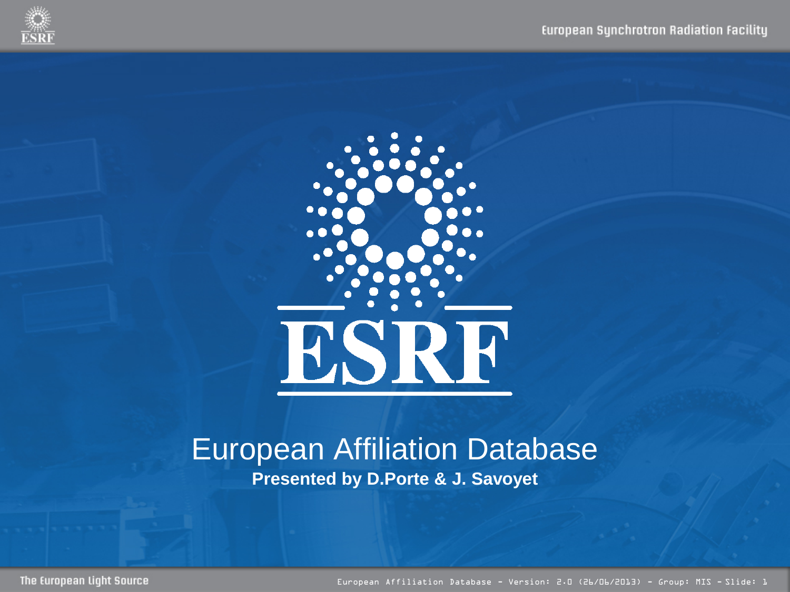



#### European Affiliation Database **Presented by D.Porte & J. Savoyet**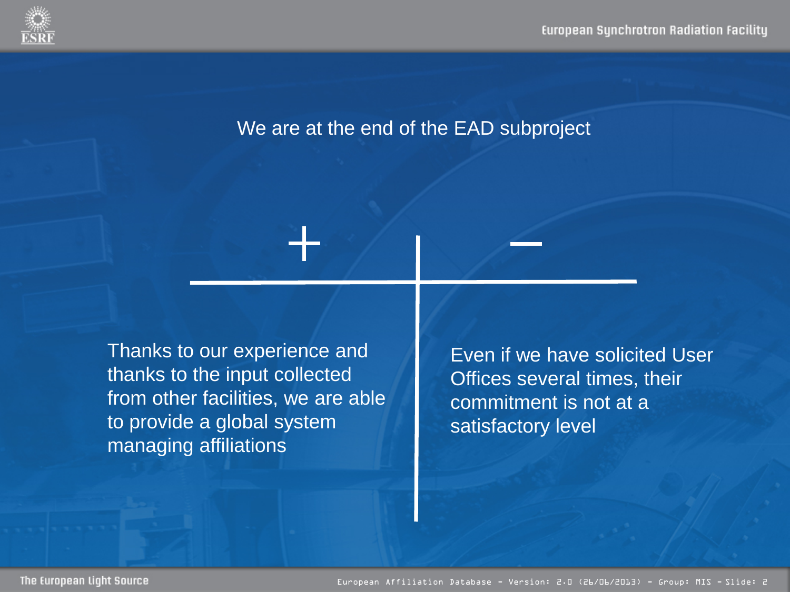

#### We are at the end of the EAD subproject

Thanks to our experience and thanks to the input collected from other facilities, we are able to provide a global system managing affiliations

Even if we have solicited User Offices several times, their commitment is not at a satisfactory level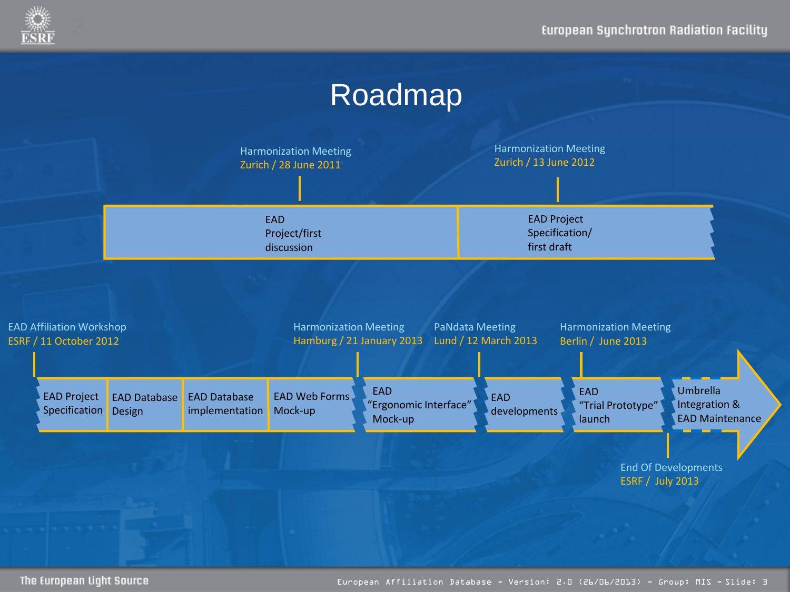

### Roadmap

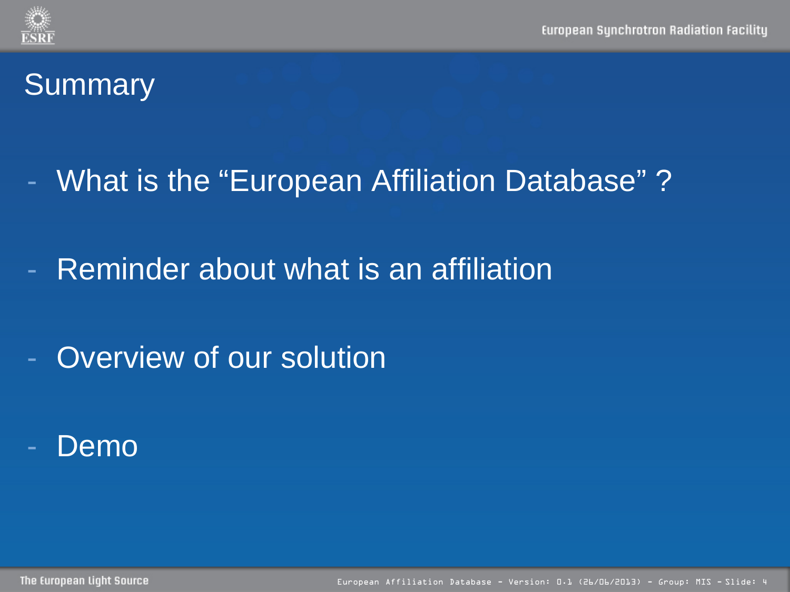- What is the "European Affiliation Database" ?
- Reminder about what is an affiliation
- Overview of our solution
- Demo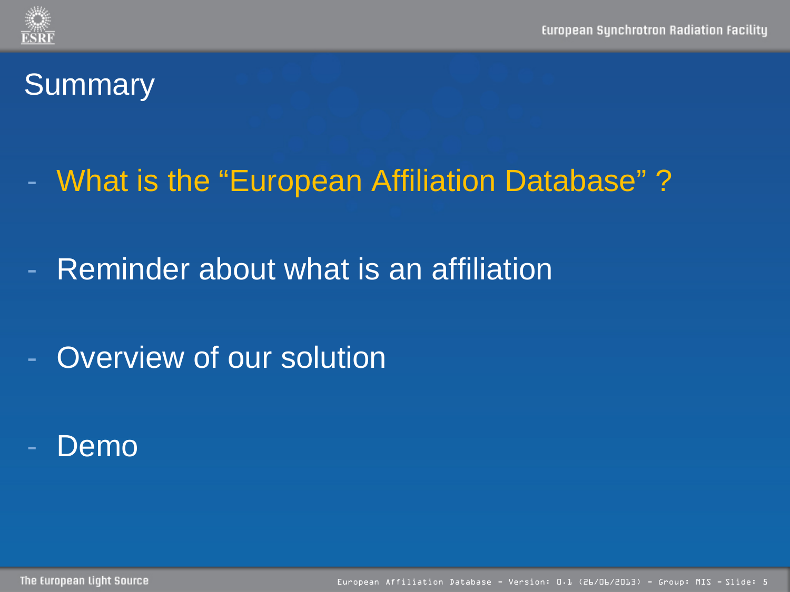# - What is the "European Affiliation Database" ?

- Reminder about what is an affiliation
- Overview of our solution
- Demo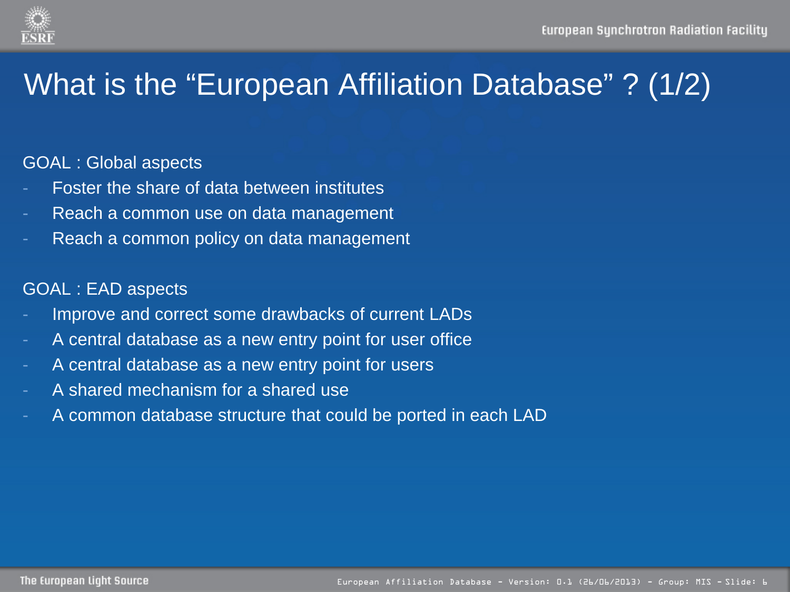

## What is the "European Affiliation Database" ? (1/2)

#### GOAL : Global aspects

- Foster the share of data between institutes
- Reach a common use on data management
- Reach a common policy on data management

#### GOAL : EAD aspects

- Improve and correct some drawbacks of current LADs
- A central database as a new entry point for user office
- A central database as a new entry point for users
- A shared mechanism for a shared use
- A common database structure that could be ported in each LAD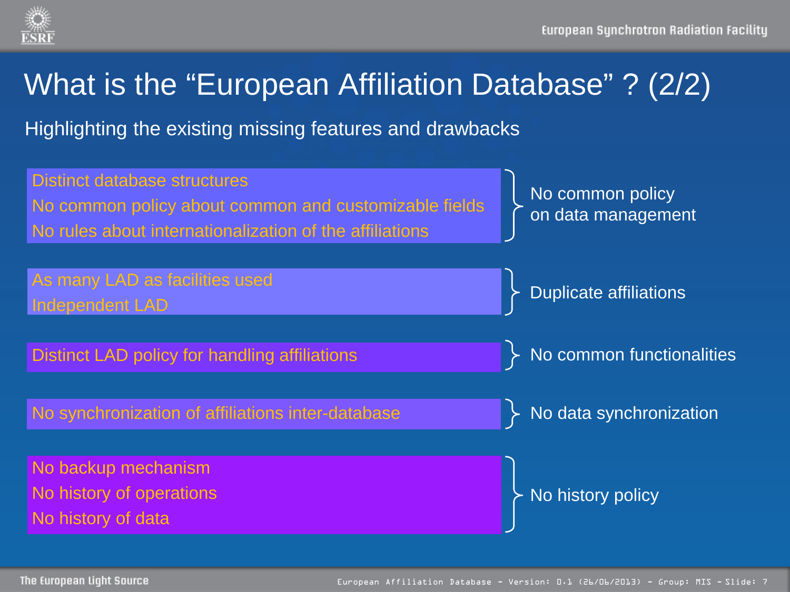

## What is the "European Affiliation Database" ? (2/2)

Highlighting the existing missing features and drawbacks

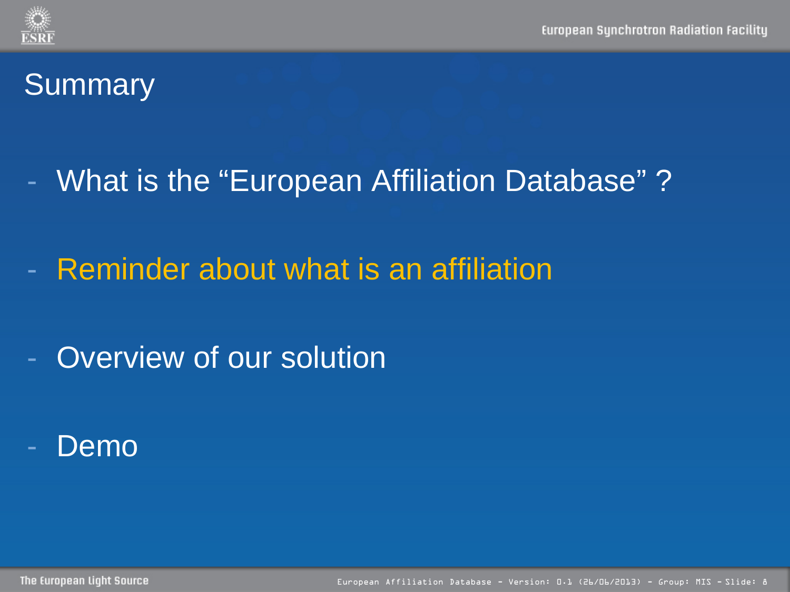- What is the "European Affiliation Database" ?
- Reminder about what is an affiliation
- Overview of our solution
- Demo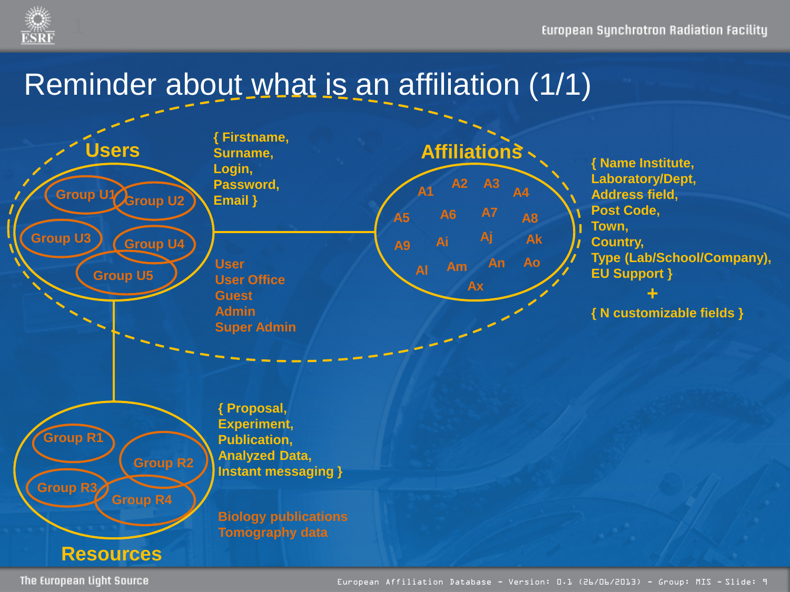

## Reminder about what is an affiliation (1/1)

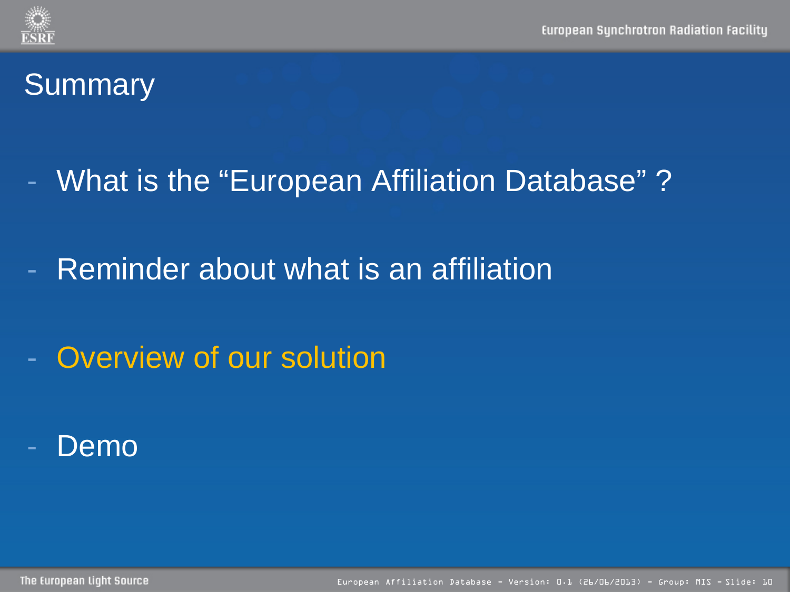- What is the "European Affiliation Database" ?
- Reminder about what is an affiliation
- Overview of our solution
- Demo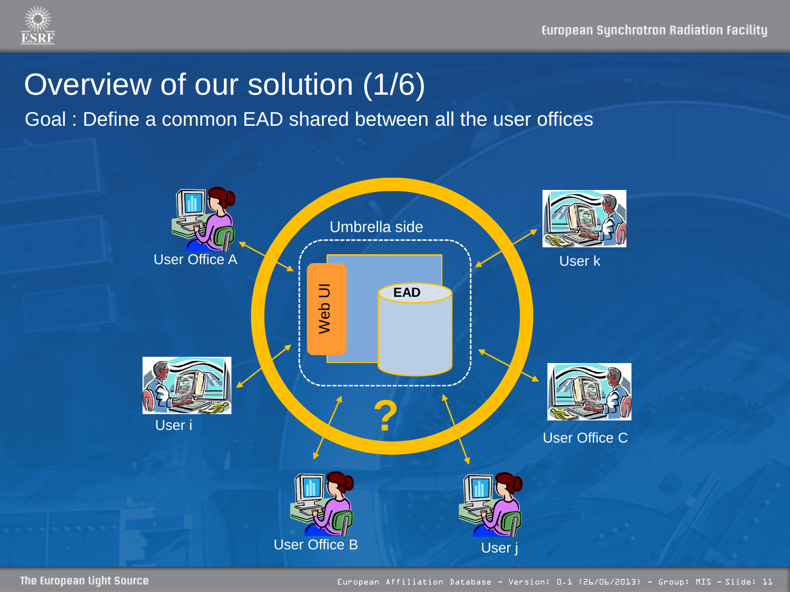

### Overview of our solution (1/6)

Goal : Define a common EAD shared between all the user offices

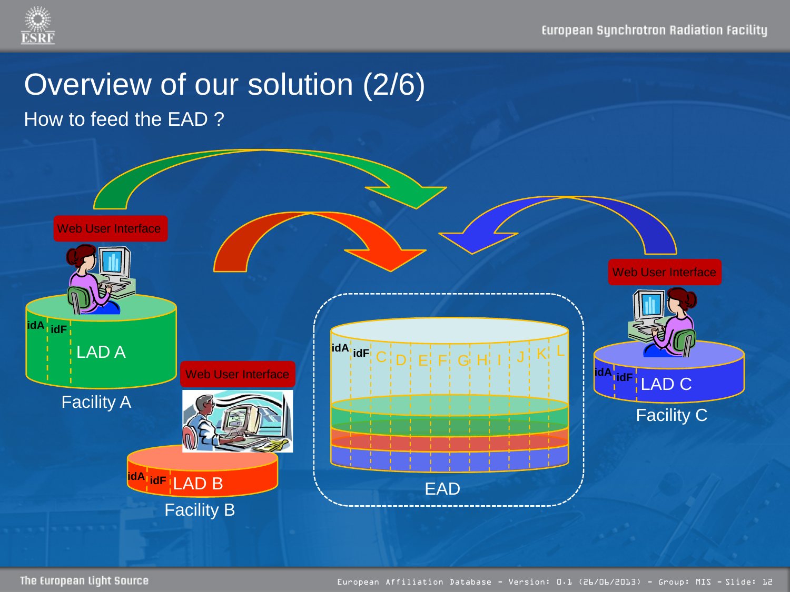

# Overview of our solution (2/6)

How to feed the EAD ?

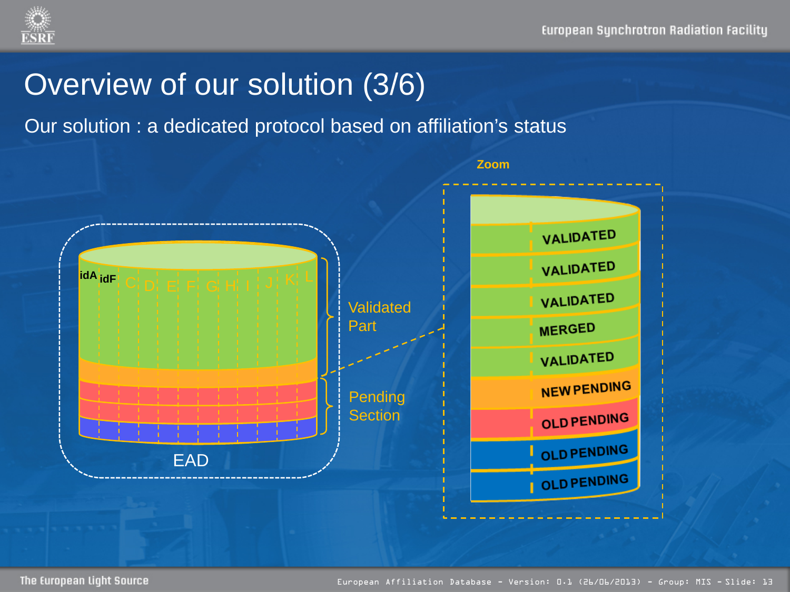#### Overview of our solution (3/6)

Our solution : a dedicated protocol based on affiliation's status

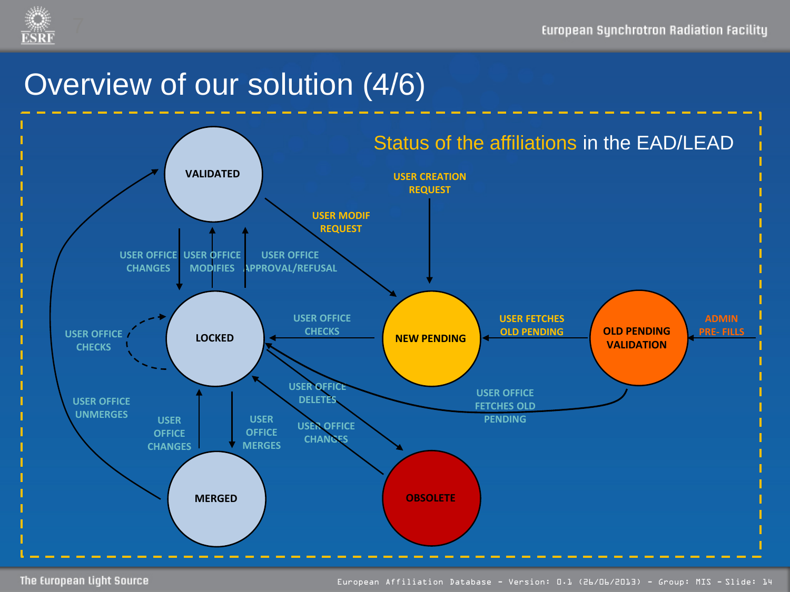

### Overview of our solution (4/6)

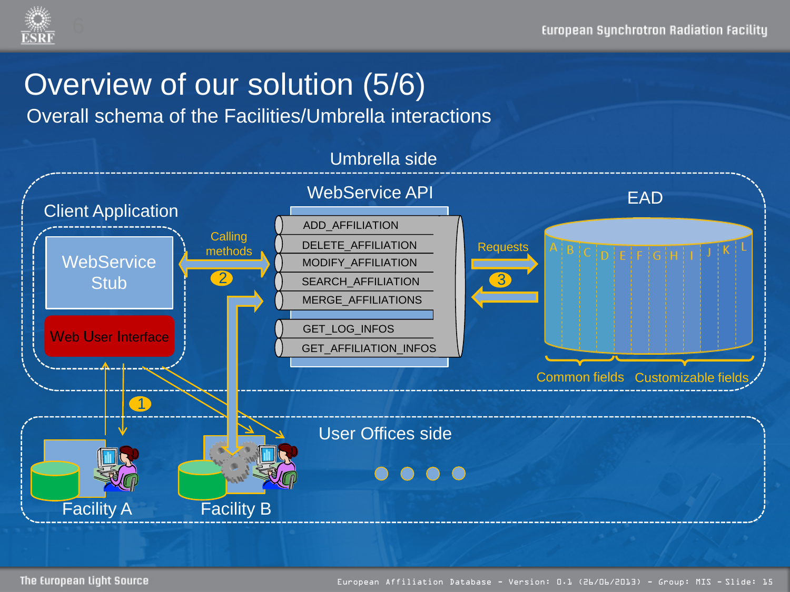

## Overview of our solution (5/6)

Overall schema of the Facilities/Umbrella interactions

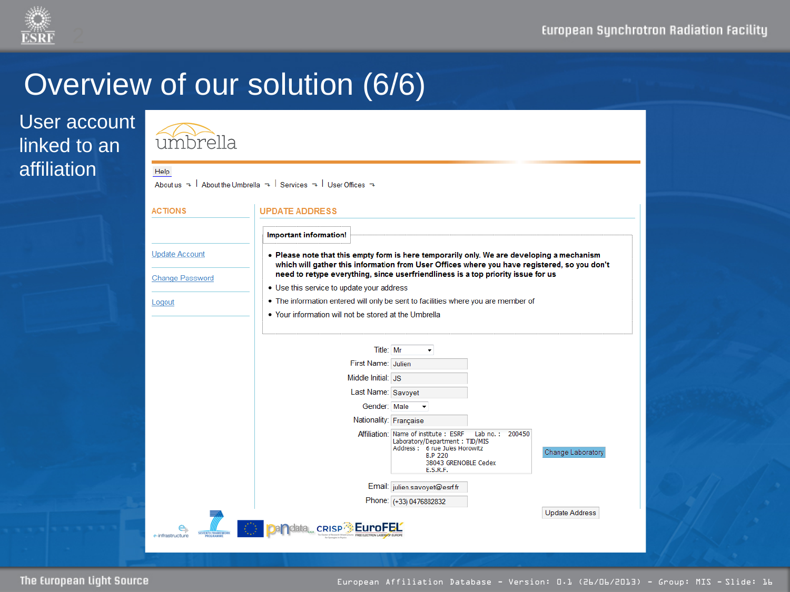

## Overview of our solution (6/6)

 $\bigcap$ 

#### User account linked to an affiliation

| umbrella<br>Help       |                                                                                                                 |                                                                                                                                                                                            |                       |
|------------------------|-----------------------------------------------------------------------------------------------------------------|--------------------------------------------------------------------------------------------------------------------------------------------------------------------------------------------|-----------------------|
|                        | About us $\rightarrow$   About the Umbrella $\rightarrow$   Services $\rightarrow$   User Offices $\rightarrow$ |                                                                                                                                                                                            |                       |
| <b>ACTIONS</b>         | <b>UPDATE ADDRESS</b>                                                                                           |                                                                                                                                                                                            |                       |
|                        | Important information!                                                                                          |                                                                                                                                                                                            |                       |
| <b>Update Account</b>  |                                                                                                                 | . Please note that this empty form is here temporarily only. We are developing a mechanism<br>which will gather this information from User Offices where you have registered, so you don't |                       |
| <b>Change Password</b> | • Use this service to update your address                                                                       | need to retype everything, since userfriendliness is a top priority issue for us                                                                                                           |                       |
| Logout                 | • The information entered will only be sent to facilities where you are member of                               |                                                                                                                                                                                            |                       |
|                        | . Your information will not be stored at the Umbrella                                                           |                                                                                                                                                                                            |                       |
|                        |                                                                                                                 |                                                                                                                                                                                            |                       |
|                        | Title: Mr                                                                                                       | ۰                                                                                                                                                                                          |                       |
|                        | First Name: Julien                                                                                              |                                                                                                                                                                                            |                       |
|                        | Middle Initial: JS                                                                                              |                                                                                                                                                                                            |                       |
|                        | Last Name: Savovet                                                                                              |                                                                                                                                                                                            |                       |
|                        | Gender: Male                                                                                                    |                                                                                                                                                                                            |                       |
|                        | Nationality: Française                                                                                          |                                                                                                                                                                                            |                       |
|                        |                                                                                                                 | Affiliation: Name of institute: ESRF<br>Lab no.: 200450<br>Laboratory/Department: TID/MIS<br>Address: 6 rue Jules Horowitz<br><b>B.P 220</b><br>38043 GRENOBLE Cedex<br><b>E.S.R.F.</b>    | Change Laboratory     |
|                        |                                                                                                                 | Email: julien.savoyet@esrf.fr                                                                                                                                                              |                       |
|                        |                                                                                                                 | Phone: (+33) 0476882832                                                                                                                                                                    |                       |
|                        |                                                                                                                 |                                                                                                                                                                                            | <b>Update Address</b> |
| e-infrastructure       | ata CRISP                                                                                                       |                                                                                                                                                                                            |                       |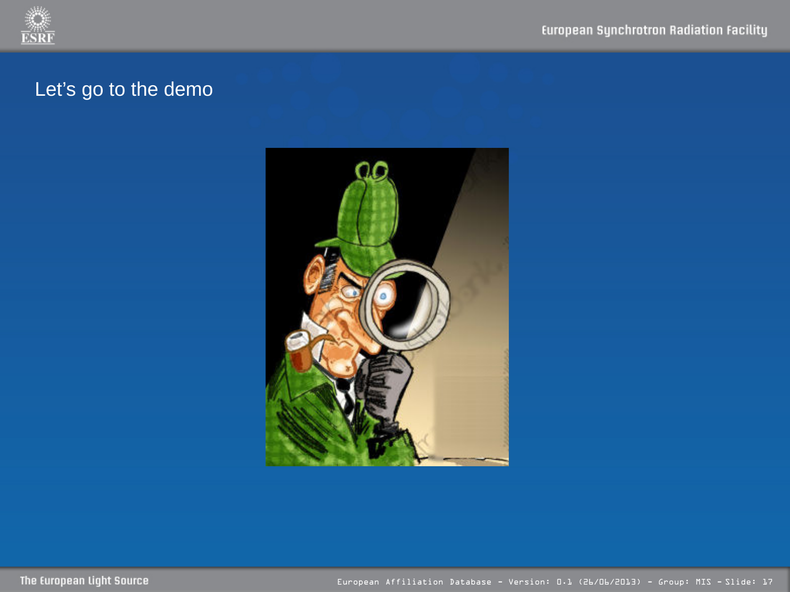

#### Let's go to the demo